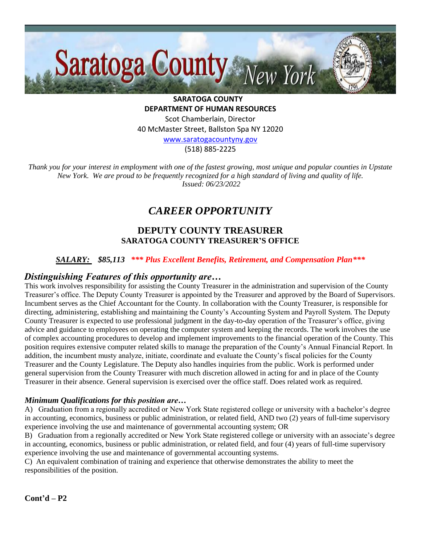

**SARATOGA COUNTY DEPARTMENT OF HUMAN RESOURCES** Scot Chamberlain, Director 40 McMaster Street, Ballston Spa NY 12020 [www.saratogacountyny.gov](http://www.saratogacountyny.gov/)

(518) 885-2225

*Thank you for your interest in employment with one of the fastest growing, most unique and popular counties in Upstate New York. We are proud to be frequently recognized for a high standard of living and quality of life. Issued: 06/23/2022* 

# *CAREER OPPORTUNITY*

# **DEPUTY COUNTY TREASURER SARATOGA COUNTY TREASURER'S OFFICE**

#### *SALARY: \$85,113 \*\*\* Plus Excellent Benefits, Retirement, and Compensation Plan\*\*\**

#### *Distinguishing Features of this opportunity are…*

This work involves responsibility for assisting the County Treasurer in the administration and supervision of the County Treasurer's office. The Deputy County Treasurer is appointed by the Treasurer and approved by the Board of Supervisors. Incumbent serves as the Chief Accountant for the County. In collaboration with the County Treasurer, is responsible for directing, administering, establishing and maintaining the County's Accounting System and Payroll System. The Deputy County Treasurer is expected to use professional judgment in the day-to-day operation of the Treasurer's office, giving advice and guidance to employees on operating the computer system and keeping the records. The work involves the use of complex accounting procedures to develop and implement improvements to the financial operation of the County. This position requires extensive computer related skills to manage the preparation of the County's Annual Financial Report. In addition, the incumbent musty analyze, initiate, coordinate and evaluate the County's fiscal policies for the County Treasurer and the County Legislature. The Deputy also handles inquiries from the public. Work is performed under general supervision from the County Treasurer with much discretion allowed in acting for and in place of the County Treasurer in their absence. General supervision is exercised over the office staff. Does related work as required.

#### *Minimum Qualifications for this position are…*

A) Graduation from a regionally accredited or New York State registered college or university with a bachelor's degree in accounting, economics, business or public administration, or related field, AND two (2) years of full-time supervisory experience involving the use and maintenance of governmental accounting system; OR

B) Graduation from a regionally accredited or New York State registered college or university with an associate's degree in accounting, economics, business or public administration, or related field, and four (4) years of full-time supervisory experience involving the use and maintenance of governmental accounting systems.

C) An equivalent combination of training and experience that otherwise demonstrates the ability to meet the responsibilities of the position.